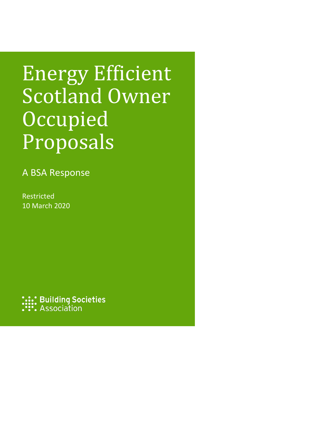# Energy Efficient Scotland Owner **Occupied** Proposals

A BSA Response

Restricted 10 March 2020

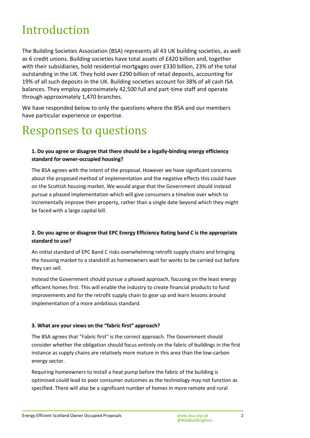# Introduction

The Building Societies Association (BSA) represents all 43 UK building societies, as well as 6 credit unions. Building societies have total assets of £420 billion and, together with their subsidiaries, hold residential mortgages over £330 billion, 23% of the total outstanding in the UK. They hold over £290 billion of retail deposits, accounting for 19% of all such deposits in the UK. Building societies account for 38% of all cash ISA balances. They employ approximately 42,500 full and part-time staff and operate through approximately 1,470 branches.

We have responded below to only the questions where the BSA and our members have particular experience or expertise.

## Responses to questions

### **1. Do you agree or disagree that there should be a legally-binding energy efficiency standard for owner-occupied housing?**

The BSA agrees with the intent of the proposal. However we have significant concerns about the proposed method of implementation and the negative effects this could have on the Scottish housing market. We would argue that the Government should instead pursue a phased implementation which will give consumers a timeline over which to incrementally improve their property, rather than a single date beyond which they might be faced with a large capital bill.

#### **2. Do you agree or disagree that EPC Energy Efficiency Rating band C is the appropriate standard to use?**

An initial standard of EPC Band C risks overwhelming retrofit supply chains and bringing the housing market to a standstill as homeowners wait for works to be carried out before they can sell.

Instead the Government should pursue a phased approach, focusing on the least energy efficient homes first. This will enable the industry to create financial products to fund improvements and for the retrofit supply chain to gear up and learn lessons around implementation of a more ambitious standard.

#### **3. What are your views on the "fabric first" approach?**

The BSA agrees that "Fabric first" is the correct approach. The Government should consider whether the obligation should focus entirely on the fabric of buildings in the first instance as supply chains are relatively more mature in this area than the low-carbon energy sector.

Requiring homeowners to install a heat pump before the fabric of the building is optimised could lead to poor consumer outcomes as the technology may not function as specified. There will also be a significant number of homes in more remote and rural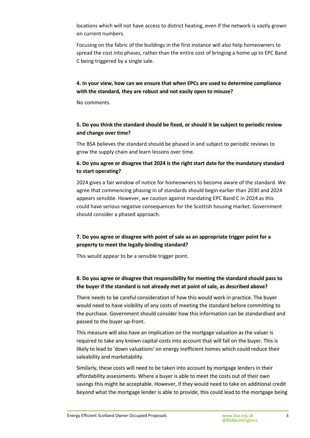locations which will not have access to district heating, even if the network is vastly grown on current numbers.

Focusing on the fabric of the buildings in the first instance will also help homeowners to spread the cost into phases, rather than the entire cost of bringing a home up to EPC Band C being triggered by a single sale.

#### **4. In your view, how can we ensure that when EPCs are used to determine compliance with the standard, they are robust and not easily open to misuse?**

No comments.

#### **5. Do you think the standard should be fixed, or should it be subject to periodic review and change over time?**

The BSA believes the standard should be phased in and subject to periodic reviews to grow the supply chain and learn lessons over time.

#### **6. Do you agree or disagree that 2024 is the right start date for the mandatory standard to start operating?**

2024 gives a fair window of notice for homeowners to become aware of the standard. We agree that commencing phasing in of standards should begin earlier than 2030 and 2024 appears sensible. However, we caution against mandating EPC Band C in 2024 as this could have serious negative consequences for the Scottish housing market. Government should consider a phased approach.

### **7. Do you agree or disagree with point of sale as an appropriate trigger point for a property to meet the legally-binding standard?**

This would appear to be a sensible trigger point.

### **8. Do you agree or disagree that responsibility for meeting the standard should pass to the buyer if the standard is not already met at point of sale, as described above?**

There needs to be careful consideration of how this would work in practice. The buyer would need to have visibility of any costs of meeting the standard before committing to the purchase. Government should consider how this information can be standardised and passed to the buyer up-front.

This measure will also have an implication on the mortgage valuation as the valuer is required to take any known capital costs into account that will fall on the buyer. This is likely to lead to 'down valuations' on energy inefficient homes which could reduce their saleability and marketability.

Similarly, these costs will need to be taken into account by mortgage lenders in their affordability assessments. Where a buyer is able to meet the costs out of their own savings this might be acceptable. However, if they would need to take on additional credit beyond what the mortgage lender is able to provide, this could lead to the mortgage being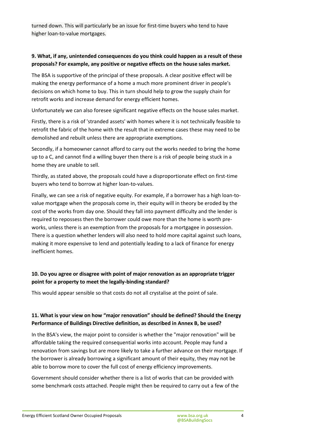turned down. This will particularly be an issue for first-time buyers who tend to have higher loan-to-value mortgages.

#### **9. What, if any, unintended consequences do you think could happen as a result of these proposals? For example, any positive or negative effects on the house sales market.**

The BSA is supportive of the principal of these proposals. A clear positive effect will be making the energy performance of a home a much more prominent driver in people's decisions on which home to buy. This in turn should help to grow the supply chain for retrofit works and increase demand for energy efficient homes.

Unfortunately we can also foresee significant negative effects on the house sales market.

Firstly, there is a risk of 'stranded assets' with homes where it is not technically feasible to retrofit the fabric of the home with the result that in extreme cases these may need to be demolished and rebuilt unless there are appropriate exemptions.

Secondly, if a homeowner cannot afford to carry out the works needed to bring the home up to a C, and cannot find a willing buyer then there is a risk of people being stuck in a home they are unable to sell.

Thirdly, as stated above, the proposals could have a disproportionate effect on first-time buyers who tend to borrow at higher loan-to-values.

Finally, we can see a risk of negative equity. For example, if a borrower has a high loan-tovalue mortgage when the proposals come in, their equity will in theory be eroded by the cost of the works from day one. Should they fall into payment difficulty and the lender is required to repossess then the borrower could owe more than the home is worth preworks, unless there is an exemption from the proposals for a mortgagee in possession. There is a question whether lenders will also need to hold more capital against such loans, making it more expensive to lend and potentially leading to a lack of finance for energy inefficient homes.

### **10. Do you agree or disagree with point of major renovation as an appropriate trigger point for a property to meet the legally-binding standard?**

This would appear sensible so that costs do not all crystalise at the point of sale.

### **11. What is your view on how "major renovation" should be defined? Should the Energy Performance of Buildings Directive definition, as described in Annex B, be used?**

In the BSA's view, the major point to consider is whether the "major renovation" will be affordable taking the required consequential works into account. People may fund a renovation from savings but are more likely to take a further advance on their mortgage. If the borrower is already borrowing a significant amount of their equity, they may not be able to borrow more to cover the full cost of energy efficiency improvements.

Government should consider whether there is a list of works that can be provided with some benchmark costs attached. People might then be required to carry out a few of the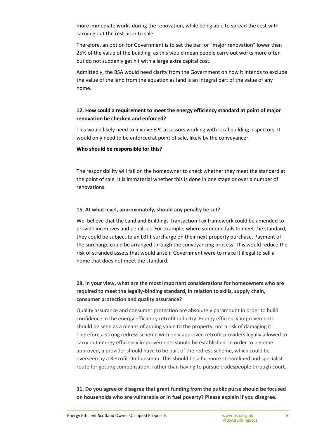more immediate works during the renovation, while being able to spread the cost with carrying out the rest prior to sale.

Therefore, an option for Government is to set the bar for "major renovation" lower than 25% of the value of the building, as this would mean people carry out works more often but do not suddenly get hit with a large extra capital cost.

Admittedly, the BSA would need clarity from the Government on how it intends to exclude the value of the land from the equation as land is an integral part of the value of any home.

#### **12. How could a requirement to meet the energy efficiency standard at point of major renovation be checked and enforced?**

This would likely need to involve EPC assessors working with local building inspectors. It would only need to be enforced at point of sale, likely by the conveyancer.

#### **Who should be responsible for this?**

The responsibility will fall on the homeowner to check whether they meet the standard at the point of sale. It is immaterial whether this is done in one stage or over a number of renovations.

#### **15. At what level, approximately, should any penalty be set?**

We believe that the Land and Buildings Transaction Tax framework could be amended to provide incentives and penalties. For example, where someone fails to meet the standard, they could be subject to an LBTT surcharge on their next property purchase. Payment of the surcharge could be arranged through the conveyancing process. This would reduce the risk of stranded assets that would arise if Government were to make it illegal to sell a home that does not meet the standard.

#### **28. In your view, what are the most important considerations for homeowners who are required to meet the legally-binding standard, in relation to skills, supply chain, consumer protection and quality assurance?**

Quality assurance and consumer protection are absolutely paramount in order to build confidence in the energy efficiency retrofit industry. Energy efficiency improvements should be seen as a means of adding value to the property, not a risk of damaging it. Therefore a strong redress scheme with only approved retrofit providers legally allowed to carry out energy efficiency improvements should be established. In order to become approved, a provider should have to be part of the redress scheme, which could be overseen by a Retrofit Ombudsman. This should be a far more streamlined and specialist route for getting compensation, rather than having to pursue tradespeople through court.

**31. Do you agree or disagree that grant funding from the public purse should be focused on households who are vulnerable or in fuel poverty? Please explain if you disagree.**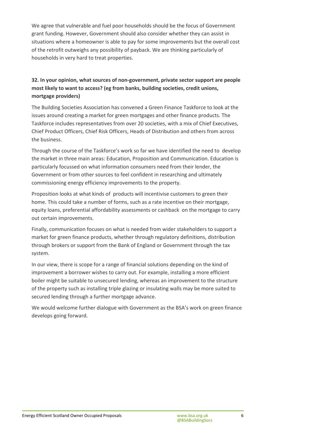We agree that vulnerable and fuel poor households should be the focus of Government grant funding. However, Government should also consider whether they can assist in situations where a homeowner is able to pay for some improvements but the overall cost of the retrofit outweighs any possibility of payback. We are thinking particularly of households in very hard to treat properties.

### **32. In your opinion, what sources of non-government, private sector support are people most likely to want to access? (eg from banks, building societies, credit unions, mortgage providers)**

The Building Societies Association has convened a Green Finance Taskforce to look at the issues around creating a market for green mortgages and other finance products. The Taskforce includes representatives from over 20 societies, with a mix of Chief Executives, Chief Product Officers, Chief Risk Officers, Heads of Distribution and others from across the business.

Through the course of the Taskforce's work so far we have identified the need to develop the market in three main areas: Education, Proposition and Communication. Education is particularly focussed on what information consumers need from their lender, the Government or from other sources to feel confident in researching and ultimately commissioning energy efficiency improvements to the property.

Proposition looks at what kinds of products will incentivise customers to green their home. This could take a number of forms, such as a rate incentive on their mortgage, equity loans, preferential affordability assessments or cashback on the mortgage to carry out certain improvements.

Finally, communication focuses on what is needed from wider stakeholders to support a market for green finance products, whether through regulatory definitions, distribution through brokers or support from the Bank of England or Government through the tax system.

In our view, there is scope for a range of financial solutions depending on the kind of improvement a borrower wishes to carry out. For example, installing a more efficient boiler might be suitable to unsecured lending, whereas an improvement to the structure of the property such as installing triple glazing or insulating walls may be more suited to secured lending through a further mortgage advance.

We would welcome further dialogue with Government as the BSA's work on green finance develops going forward.